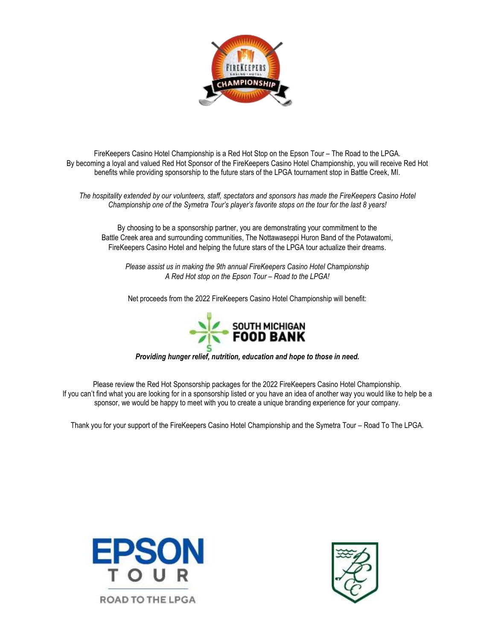

FireKeepers Casino Hotel Championship is a Red Hot Stop on the Epson Tour – The Road to the LPGA. By becoming a loyal and valued Red Hot Sponsor of the FireKeepers Casino Hotel Championship, you will receive Red Hot benefits while providing sponsorship to the future stars of the LPGA tournament stop in Battle Creek, MI.

*The hospitality extended by our volunteers, staff, spectators and sponsors has made the FireKeepers Casino Hotel Championship one of the Symetra Tour's player's favorite stops on the tour for the last 8 years!* 

By choosing to be a sponsorship partner, you are demonstrating your commitment to the Battle Creek area and surrounding communities, The Nottawaseppi Huron Band of the Potawatomi, FireKeepers Casino Hotel and helping the future stars of the LPGA tour actualize their dreams.

*Please assist us in making the 9th annual FireKeepers Casino Hotel Championship A Red Hot stop on the Epson Tour – Road to the LPGA!* 

Net proceeds from the 2022 FireKeepers Casino Hotel Championship will benefit:



*Providing hunger relief, nutrition, education and hope to those in need.*

Please review the Red Hot Sponsorship packages for the 2022 FireKeepers Casino Hotel Championship. If you can't find what you are looking for in a sponsorship listed or you have an idea of another way you would like to help be a sponsor, we would be happy to meet with you to create a unique branding experience for your company.

Thank you for your support of the FireKeepers Casino Hotel Championship and the Symetra Tour – Road To The LPGA.



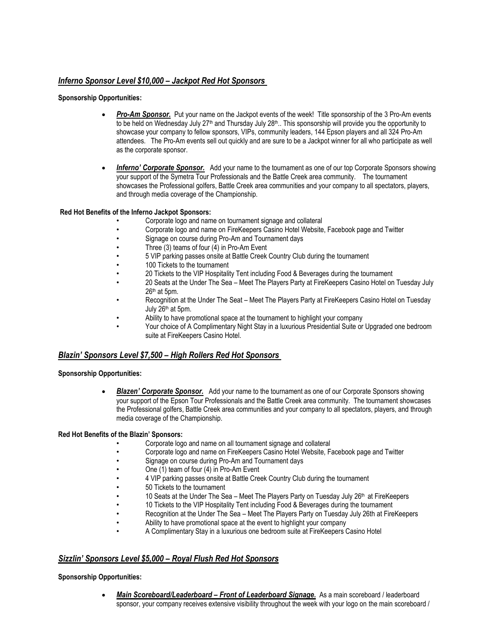# *Inferno Sponsor Level \$10,000 – Jackpot Red Hot Sponsors*

### **Sponsorship Opportunities:**

- *Pro-Am Sponsor.* Put your name on the Jackpot events of the week! Title sponsorship of the 3 Pro-Am events to be held on Wednesday July 27<sup>th</sup> and Thursday July 28<sup>th</sup>.. This sponsorship will provide you the opportunity to showcase your company to fellow sponsors, VIPs, community leaders, 144 Epson players and all 324 Pro-Am attendees. The Pro-Am events sell out quickly and are sure to be a Jackpot winner for all who participate as well as the corporate sponsor.
- *Inferno' Corporate Sponsor.* Add your name to the tournament as one of our top Corporate Sponsors showing your support of the Symetra Tour Professionals and the Battle Creek area community. The tournament showcases the Professional golfers, Battle Creek area communities and your company to all spectators, players, and through media coverage of the Championship.

### **Red Hot Benefits of the Inferno Jackpot Sponsors:**

- Corporate logo and name on tournament signage and collateral
- Corporate logo and name on FireKeepers Casino Hotel Website, Facebook page and Twitter
- Signage on course during Pro-Am and Tournament days
- Three (3) teams of four (4) in Pro-Am Event
- 5 VIP parking passes onsite at Battle Creek Country Club during the tournament
- 100 Tickets to the tournament
- 20 Tickets to the VIP Hospitality Tent including Food & Beverages during the tournament
- 20 Seats at the Under The Sea Meet The Players Party at FireKeepers Casino Hotel on Tuesday July  $26<sup>th</sup>$  at 5pm.
- Recognition at the Under The Seat Meet The Players Party at FireKeepers Casino Hotel on Tuesday July 26th at 5pm.
- Ability to have promotional space at the tournament to highlight your company
- Your choice of A Complimentary Night Stay in a luxurious Presidential Suite or Upgraded one bedroom suite at FireKeepers Casino Hotel.

# *Blazin' Sponsors Level \$7,500 – High Rollers Red Hot Sponsors*

### **Sponsorship Opportunities:**

 *Blazen' Corporate Sponsor.* Add your name to the tournament as one of our Corporate Sponsors showing your support of the Epson Tour Professionals and the Battle Creek area community. The tournament showcases the Professional golfers, Battle Creek area communities and your company to all spectators, players, and through media coverage of the Championship.

### **Red Hot Benefits of the Blazin' Sponsors:**

- Corporate logo and name on all tournament signage and collateral
- Corporate logo and name on FireKeepers Casino Hotel Website, Facebook page and Twitter
- Signage on course during Pro-Am and Tournament days
- One (1) team of four (4) in Pro-Am Event
	- 4 VIP parking passes onsite at Battle Creek Country Club during the tournament
- 50 Tickets to the tournament
- 10 Seats at the Under The Sea Meet The Players Party on Tuesday July  $26<sup>th</sup>$  at FireKeepers
- 10 Tickets to the VIP Hospitality Tent including Food & Beverages during the tournament
- Recognition at the Under The Sea Meet The Players Party on Tuesday July 26th at FireKeepers
- Ability to have promotional space at the event to highlight your company
- A Complimentary Stay in a luxurious one bedroom suite at FireKeepers Casino Hotel

# *Sizzlin' Sponsors Level \$5,000 – Royal Flush Red Hot Sponsors*

### **Sponsorship Opportunities:**

 *Main Scoreboard/Leaderboard – Front of Leaderboard Signage.* As a main scoreboard / leaderboard sponsor, your company receives extensive visibility throughout the week with your logo on the main scoreboard /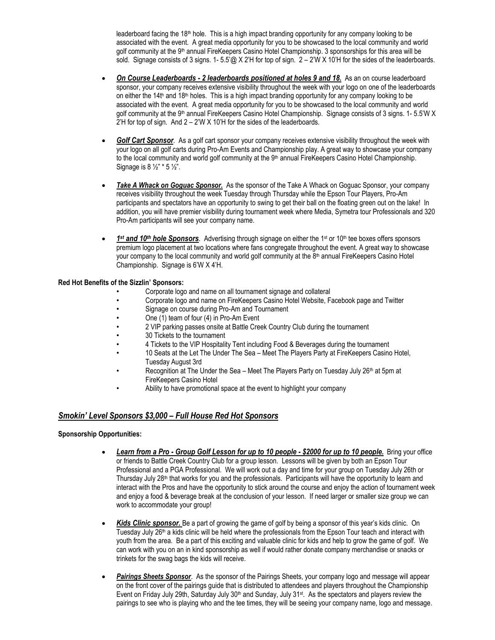leaderboard facing the 18<sup>th</sup> hole. This is a high impact branding opportunity for any company looking to be associated with the event. A great media opportunity for you to be showcased to the local community and world golf community at the 9<sup>th</sup> annual FireKeepers Casino Hotel Championship. 3 sponsorships for this area will be sold. Signage consists of 3 signs. 1- 5.5'@ X 2'H for top of sign. 2 – 2'W X 10'H for the sides of the leaderboards.

- *On Course Leaderboards - 2 leaderboards positioned at holes 9 and 18.* As an on course leaderboard sponsor, your company receives extensive visibility throughout the week with your logo on one of the leaderboards on either the  $14t<sup>h</sup>$  and  $18th$  holes. This is a high impact branding opportunity for any company looking to be associated with the event. A great media opportunity for you to be showcased to the local community and world golf community at the 9<sup>th</sup> annual FireKeepers Casino Hotel Championship. Signage consists of 3 signs. 1- 5.5'W X 2'H for top of sign. And 2 – 2'W X 10'H for the sides of the leaderboards.
- *Golf Cart Sponsor.* As a golf cart sponsor your company receives extensive visibility throughout the week with your logo on all golf carts during Pro-Am Events and Championship play. A great way to showcase your company to the local community and world golf community at the  $9<sup>th</sup>$  annual FireKeepers Casino Hotel Championship. Signage is 8 ½" \* 5 ½".
- *Take A Whack on Goguac Sponsor.* As the sponsor of the Take A Whack on Goguac Sponsor, your company receives visibility throughout the week Tuesday through Thursday while the Epson Tour Players, Pro-Am participants and spectators have an opportunity to swing to get their ball on the floating green out on the lake! In addition, you will have premier visibility during tournament week where Media, Symetra tour Professionals and 320 Pro-Am participants will see your company name.
- **fight 10<sup>th</sup>** *hole Sponsors*. Advertising through signage on either the 1<sup>st</sup> or 10<sup>th</sup> tee boxes offers sponsors premium logo placement at two locations where fans congregate throughout the event. A great way to showcase your company to the local community and world golf community at the 8<sup>th</sup> annual FireKeepers Casino Hotel Championship. Signage is 6'W X 4'H.

### **Red Hot Benefits of the Sizzlin' Sponsors:**

- Corporate logo and name on all tournament signage and collateral
- Corporate logo and name on FireKeepers Casino Hotel Website, Facebook page and Twitter
- Signage on course during Pro-Am and Tournament
- One (1) team of four (4) in Pro-Am Event
- 2 VIP parking passes onsite at Battle Creek Country Club during the tournament
- 30 Tickets to the tournament
- 4 Tickets to the VIP Hospitality Tent including Food & Beverages during the tournament
- 10 Seats at the Let The Under The Sea Meet The Players Party at FireKeepers Casino Hotel, Tuesday August 3rd
- Recognition at The Under the Sea Meet The Players Party on Tuesday July 26<sup>th</sup> at 5pm at FireKeepers Casino Hotel
- Ability to have promotional space at the event to highlight your company

# *Smokin' Level Sponsors \$3,000 – Full House Red Hot Sponsors*

### **Sponsorship Opportunities:**

- *Learn from a Pro - Group Golf Lesson for up to 10 people - \$2000 for up to 10 people.* Bring your office or friends to Battle Creek Country Club for a group lesson. Lessons will be given by both an Epson Tour Professional and a PGA Professional. We will work out a day and time for your group on Tuesday July 26th or Thursday July 28<sup>th</sup> that works for you and the professionals. Participants will have the opportunity to learn and interact with the Pros and have the opportunity to stick around the course and enjoy the action of tournament week and enjoy a food & beverage break at the conclusion of your lesson. If need larger or smaller size group we can work to accommodate your group!
- *Kids Clinic sponsor.* Be a part of growing the game of golf by being a sponsor of this year's kids clinic. On Tuesday July 26<sup>th</sup> a kids clinic will be held where the professionals from the Epson Tour teach and interact with youth from the area. Be a part of this exciting and valuable clinic for kids and help to grow the game of golf. We can work with you on an in kind sponsorship as well if would rather donate company merchandise or snacks or trinkets for the swag bags the kids will receive.
- *Pairings Sheets Sponsor*. As the sponsor of the Pairings Sheets, your company logo and message will appear on the front cover of the pairings guide that is distributed to attendees and players throughout the Championship Event on Friday July 29th, Saturday July 30<sup>th</sup> and Sunday, July 31<sup>st</sup>. As the spectators and players review the pairings to see who is playing who and the tee times, they will be seeing your company name, logo and message.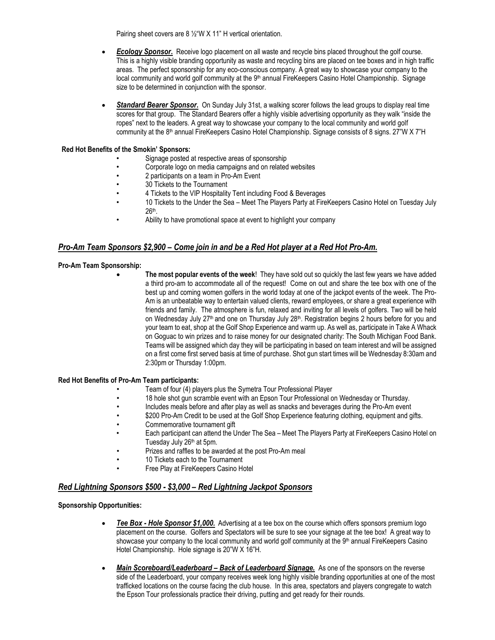Pairing sheet covers are 8 ½"W X 11" H vertical orientation.

- *Ecology Sponsor***.** Receive logo placement on all waste and recycle bins placed throughout the golf course. This is a highly visible branding opportunity as waste and recycling bins are placed on tee boxes and in high traffic areas. The perfect sponsorship for any eco-conscious company. A great way to showcase your company to the local community and world golf community at the 9<sup>th</sup> annual FireKeepers Casino Hotel Championship. Signage size to be determined in conjunction with the sponsor.
- *Standard Bearer Sponsor***.** On Sunday July 31st, a walking scorer follows the lead groups to display real time scores for that group. The Standard Bearers offer a highly visible advertising opportunity as they walk "inside the ropes" next to the leaders. A great way to showcase your company to the local community and world golf community at the 8<sup>th</sup> annual FireKeepers Casino Hotel Championship. Signage consists of 8 signs. 27"W X 7"H

#### **Red Hot Benefits of the Smokin' Sponsors:**

- Signage posted at respective areas of sponsorship
- Corporate logo on media campaigns and on related websites
- 2 participants on a team in Pro-Am Event
- 30 Tickets to the Tournament
- 4 Tickets to the VIP Hospitality Tent including Food & Beverages
- 10 Tickets to the Under the Sea Meet The Players Party at FireKeepers Casino Hotel on Tuesday July 26th .
- Ability to have promotional space at event to highlight your company

## *Pro-Am Team Sponsors \$2,900 – Come join in and be a Red Hot player at a Red Hot Pro-Am.*

#### **Pro-Am Team Sponsorship:**

 **The most popular events of the week**! They have sold out so quickly the last few years we have added a third pro-am to accommodate all of the request! Come on out and share the tee box with one of the best up and coming women golfers in the world today at one of the jackpot events of the week. The Pro-Am is an unbeatable way to entertain valued clients, reward employees, or share a great experience with friends and family. The atmosphere is fun, relaxed and inviting for all levels of golfers. Two will be held on Wednesday July 27<sup>th</sup> and one on Thursday July 28<sup>th</sup>. Registration begins 2 hours before for you and your team to eat, shop at the Golf Shop Experience and warm up. As well as, participate in Take A Whack on Goguac to win prizes and to raise money for our designated charity: The South Michigan Food Bank. Teams will be assigned which day they will be participating in based on team interest and will be assigned on a first come first served basis at time of purchase. Shot gun start times will be Wednesday 8:30am and 2:30pm or Thursday 1:00pm.

#### **Red Hot Benefits of Pro-Am Team participants:**

- Team of four (4) players plus the Symetra Tour Professional Player
- 18 hole shot gun scramble event with an Epson Tour Professional on Wednesday or Thursday.
- Includes meals before and after play as well as snacks and beverages during the Pro-Am event
- \$200 Pro-Am Credit to be used at the Golf Shop Experience featuring clothing, equipment and gifts.
- Commemorative tournament gift
- Each participant can attend the Under The Sea Meet The Players Party at FireKeepers Casino Hotel on Tuesday July 26<sup>th</sup> at 5pm.
- Prizes and raffles to be awarded at the post Pro-Am meal
- 10 Tickets each to the Tournament
- Free Play at FireKeepers Casino Hotel

### *Red Lightning Sponsors \$500 - \$3,000 – Red Lightning Jackpot Sponsors*

#### **Sponsorship Opportunities:**

- *Tee Box - Hole Sponsor \$1,000.* Advertising at a tee box on the course which offers sponsors premium logo placement on the course. Golfers and Spectators will be sure to see your signage at the tee box! A great way to showcase your company to the local community and world golf community at the 9<sup>th</sup> annual FireKeepers Casino Hotel Championship. Hole signage is 20"W X 16"H.
- Main Scoreboard/Leaderboard Back of Leaderboard Signage. As one of the sponsors on the reverse side of the Leaderboard, your company receives week long highly visible branding opportunities at one of the most trafficked locations on the course facing the club house. In this area, spectators and players congregate to watch the Epson Tour professionals practice their driving, putting and get ready for their rounds.